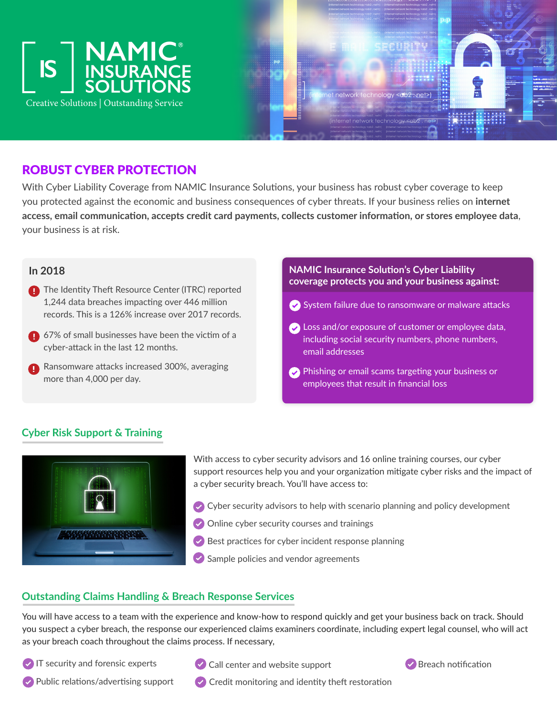



# ROBUST CYBER PROTECTION

With Cyber Liability Coverage from NAMIC Insurance Solutions, your business has robust cyber coverage to keep you protected against the economic and business consequences of cyber threats. If your business relies on **internet access, email communication, accepts credit card payments, collects customer information, or stores employee data**, your business is at risk.

### **In 2018**

- **The Identity Theft Resource Center (ITRC) reported** 1,244 data breaches impacting over 446 million records. This is a 126% increase over 2017 records.
- 67% of small businesses have been the victim of a cyber-attack in the last 12 months.
- **Ransomware attacks increased 300%, averaging** more than 4,000 per day.

### **NAMIC Insurance Solution's Cyber Liability coverage protects you and your business against:**

- System failure due to ransomware or malware attacks
- **Consumer 20 and/or exposure of customer or employee data,** including social security numbers, phone numbers, email addresses
- Phishing or email scams targeting your business or employees that result in financial loss

## **Cyber Risk Support & Training**



With access to cyber security advisors and 16 online training courses, our cyber support resources help you and your organization mitigate cyber risks and the impact of a cyber security breach. You'll have access to:

- $\bullet$  Cyber security advisors to help with scenario planning and policy development
- Online cyber security courses and trainings
- $\vee$  Best practices for cyber incident response planning
- $\blacktriangleright$  Sample policies and vendor agreements

## **Outstanding Claims Handling & Breach Response Services**

You will have access to a team with the experience and know-how to respond quickly and get your business back on track. Should you suspect a cyber breach, the response our experienced claims examiners coordinate, including expert legal counsel, who will act as your breach coach throughout the claims process. If necessary,

 $\vee$  IT security and forensic experts



 $\vee$  Call center and website support



 $\heartsuit$  Public relations/advertising support  $\heartsuit$  Credit monitoring and identity theft restoration